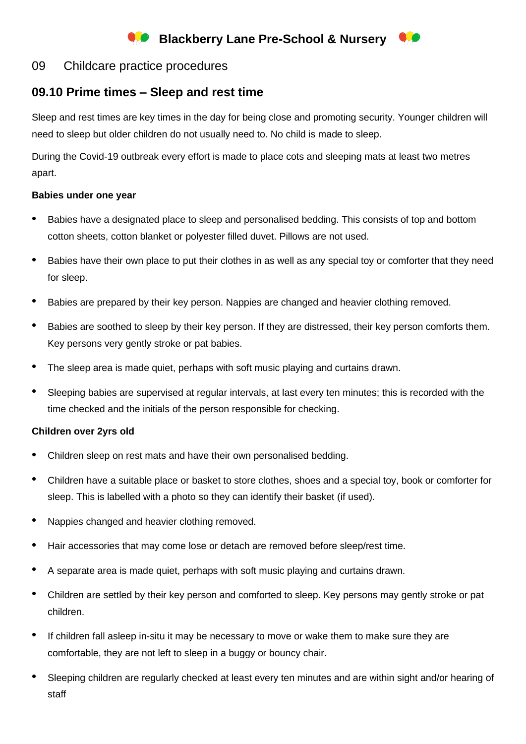# **Blackberry Lane Pre-School & Nursery**

# 09 Childcare practice procedures

# **09.10 Prime times – Sleep and rest time**

Sleep and rest times are key times in the day for being close and promoting security. Younger children will need to sleep but older children do not usually need to. No child is made to sleep.

During the Covid-19 outbreak every effort is made to place cots and sleeping mats at least two metres apart.

#### **Babies under one year**

- Babies have a designated place to sleep and personalised bedding. This consists of top and bottom cotton sheets, cotton blanket or polyester filled duvet. Pillows are not used.
- Babies have their own place to put their clothes in as well as any special toy or comforter that they need for sleep.
- Babies are prepared by their key person. Nappies are changed and heavier clothing removed.
- Babies are soothed to sleep by their key person. If they are distressed, their key person comforts them. Key persons very gently stroke or pat babies.
- The sleep area is made quiet, perhaps with soft music playing and curtains drawn.
- Sleeping babies are supervised at regular intervals, at last every ten minutes; this is recorded with the time checked and the initials of the person responsible for checking.

### **Children over 2yrs old**

- Children sleep on rest mats and have their own personalised bedding.
- Children have a suitable place or basket to store clothes, shoes and a special toy, book or comforter for sleep. This is labelled with a photo so they can identify their basket (if used).
- Nappies changed and heavier clothing removed.
- Hair accessories that may come lose or detach are removed before sleep/rest time.
- A separate area is made quiet, perhaps with soft music playing and curtains drawn.
- Children are settled by their key person and comforted to sleep. Key persons may gently stroke or pat children.
- If children fall asleep in-situ it may be necessary to move or wake them to make sure they are comfortable, they are not left to sleep in a buggy or bouncy chair.
- Sleeping children are regularly checked at least every ten minutes and are within sight and/or hearing of staff